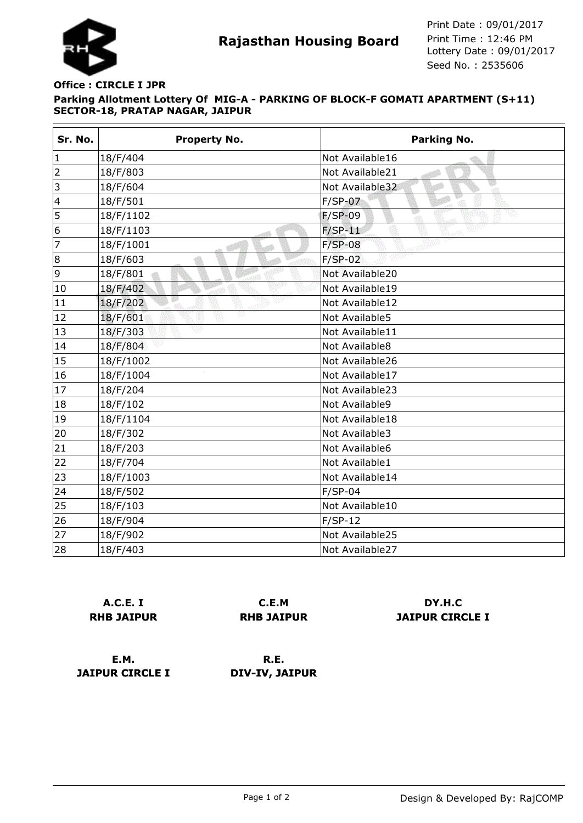

## **Parking Allotment Lottery Of MIG-A - PARKING OF BLOCK-F GOMATI APARTMENT (S+11) SECTOR-18, PRATAP NAGAR, JAIPUR Office : CIRCLE I JPR**

| Sr. No.                 | Property No.  | Parking No.          |
|-------------------------|---------------|----------------------|
| $\mathbf{1}$            | 18/F/404      | Not Available16      |
| $\overline{2}$          | 18/F/803      | Not Available21      |
| 3                       | 18/F/604      | Not Available32<br>ा |
| $\overline{\mathbf{4}}$ | 18/F/501      | $F/SP-07$            |
| 5                       | 18/F/1102     | $F/SP-09$            |
| 6                       | 18/F/1103     | $F/SP-11$            |
| 7                       | 18/F/1001     | $F/SP-08$            |
| 8                       | 18/F/603      | $F/SP-02$            |
| 9                       | 18/F/801      | Not Available20      |
| 10                      | 18/F/402      | Not Available19      |
| 11                      | 18/F/202      | Not Available12      |
| 12                      | W<br>18/F/601 | Not Available5       |
| 13                      | 18/F/303      | Not Available11      |
| 14                      | 18/F/804      | Not Available8       |
| 15                      | 18/F/1002     | Not Available26      |
| 16                      | 18/F/1004     | Not Available17      |
| 17                      | 18/F/204      | Not Available23      |
| 18                      | 18/F/102      | Not Available9       |
| 19                      | 18/F/1104     | Not Available18      |
| 20                      | 18/F/302      | Not Available3       |
| 21                      | 18/F/203      | Not Available6       |
| 22                      | 18/F/704      | Not Available1       |
| 23                      | 18/F/1003     | Not Available14      |
| 24                      | 18/F/502      | $F/SP-04$            |
| 25                      | 18/F/103      | Not Available10      |
| 26                      | 18/F/904      | $F/SP-12$            |
| 27                      | 18/F/902      | Not Available25      |
| 28                      | 18/F/403      | Not Available27      |

**A.C.E. I RHB JAIPUR**

**C.E.M RHB JAIPUR**

**DY.H.C JAIPUR CIRCLE I**

**E.M. JAIPUR CIRCLE I**

**R.E. DIV-IV, JAIPUR**